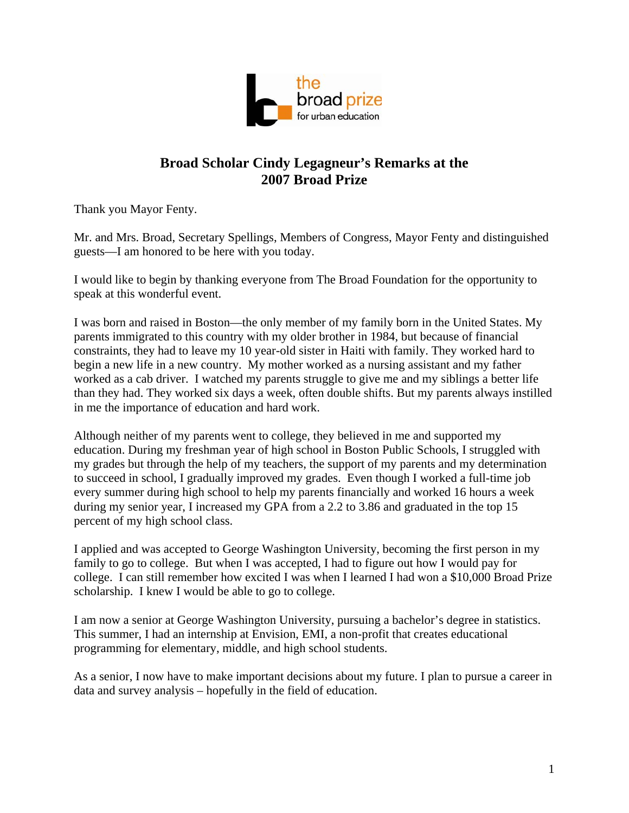

## **Broad Scholar Cindy Legagneur's Remarks at the 2007 Broad Prize**

Thank you Mayor Fenty.

Mr. and Mrs. Broad, Secretary Spellings, Members of Congress, Mayor Fenty and distinguished guests—I am honored to be here with you today.

I would like to begin by thanking everyone from The Broad Foundation for the opportunity to speak at this wonderful event.

I was born and raised in Boston—the only member of my family born in the United States. My parents immigrated to this country with my older brother in 1984, but because of financial constraints, they had to leave my 10 year-old sister in Haiti with family. They worked hard to begin a new life in a new country. My mother worked as a nursing assistant and my father worked as a cab driver. I watched my parents struggle to give me and my siblings a better life than they had. They worked six days a week, often double shifts. But my parents always instilled in me the importance of education and hard work.

Although neither of my parents went to college, they believed in me and supported my education. During my freshman year of high school in Boston Public Schools, I struggled with my grades but through the help of my teachers, the support of my parents and my determination to succeed in school, I gradually improved my grades. Even though I worked a full-time job every summer during high school to help my parents financially and worked 16 hours a week during my senior year, I increased my GPA from a 2.2 to 3.86 and graduated in the top 15 percent of my high school class.

I applied and was accepted to George Washington University, becoming the first person in my family to go to college. But when I was accepted, I had to figure out how I would pay for college. I can still remember how excited I was when I learned I had won a \$10,000 Broad Prize scholarship. I knew I would be able to go to college.

I am now a senior at George Washington University, pursuing a bachelor's degree in statistics. This summer, I had an internship at Envision, EMI, a non-profit that creates educational programming for elementary, middle, and high school students.

As a senior, I now have to make important decisions about my future. I plan to pursue a career in data and survey analysis – hopefully in the field of education.